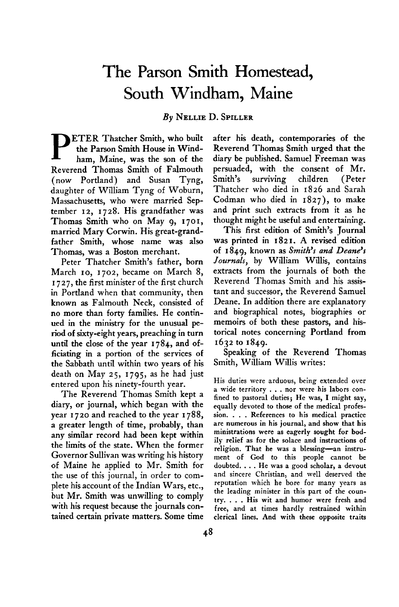## **The Parson Smith Homestead, South Windham, Maine**

**By NELLIE D. SPILLER** 

**P ETER Thatcher Smith, who built the Parson Smith House in Windham, Maine, was the son of the Reverend Thomas Smith of Falmouth ( now Portland) and Susan Tyng, daughter of William Tyng of Woburn, Massachusetts, who were married September 12, 1728. His grandfather was**  Thomas Smith who on May 9, 1701, **married Mary Corwin. His great-grandfather Smith, whose name was also Thomas, was a Boston merchant.** 

**Peter Thatcher Smith's father, born March IO, 1702, became on March 8, <sup>I</sup>727, the first minister of the first church in Portland when that community, then known as Falmouth Neck, consisted of no more than forty families. He continued in the ministry for the unusual period of sixty-eight years, preaching in turn until the close of the year 1784, and officiating in a portion of the services of the Sabbath until within two years of his death on May 25, 1795, as he had just entered upon his ninety-fourth year.** 

**The Reverend Thomas Smith kept a diary, or journal, which began with the year I 720 and reached to the year I 788, a greater length of time, probably, than any similar record had been kept within the limits of the state. When the former Governor Sullivan was writing his history of Maine he applied to Mr. Smith for the use of this journal, in order to complete his account of the Indian Wars, etc., but Mr. Smith was unwilling to comply with his request because the journals contained certain private matters. Some time** 

**after his death, contemporaries of the Reverend Thomas Smith urged that the diary be published. Samuel Freeman was persuaded, with the consent of Mr. Smith's surviving children (Peter Thatcher who died in 1826 and Sarah Codman who died in 1827), to make and print such extracts from it as he thought might be useful and entertaining.** 

**This first edition of Smith's Journal was printed in 182 I. A revised edition of 1849, known as Smith's and Deane's Journals, by William Willis, contains extracts from the journals of both the Reverend Thomas Smith and his assistant and successor, the Reverend Samuel Deane. In addition there are explanatory and biographical notes, biographies or memoirs of both these pastors, and historical notes concerning Portland from 1632 to 1849.** 

**Speaking of the Reverend Thomas Smith, William Willis writes:** 

**His duties were arduous, being extended over a wide territory . . . nor were his labors confined to pastoral duties; He was, I might say, equally devoted to those of the medical profession. . . . References to his medical practice are numerous in his journal, and show that his ministrations were as eagerly sought for bodilv relief as for the solace and instructions of**  religion. That he was a blessing-an instru**ment of God to this people cannot be doubted. . . . He was a good scholar, a devout and sincere Christian, and well deserved the reputation which he bore for many years as the leading minister in this part of the country. . . . His wit and humor were fresh and free, and at times hardly restrained within clerical lines. And with these opposite traits**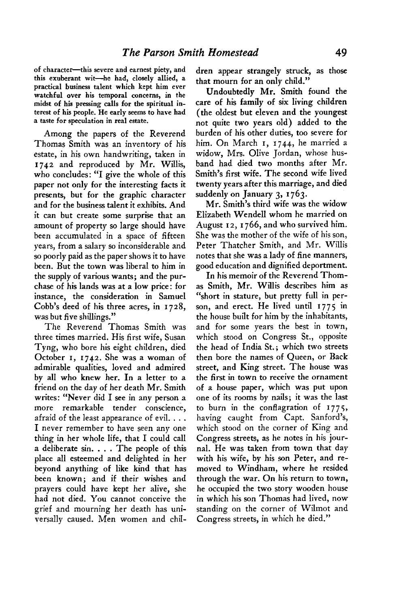**of character-this severe and earnest piety, and this exuberant wit--he had, closely allied, a practical business talent which kept him ever watchful over his temporal concerns, in the midst of his pressing calls for the spiritual interest of his people. He early seems to have had a taste for speculation in real estate.** 

**Among the papers of the Reverend Thomas Smith was an inventory of his estate, in his own handwriting, taken in 1742 and reproduced by Mr. Willis, who concludes: "I give the whole of this paper not only for the interesting facts it presents, but for the graphic character and for the business talent it exhibits. And it can but create some surprise that an amount of property so large should have been accumulated in a space of fifteen years, from a salary so inconsiderable and so poorly paid as the paper shows it to have been. But the town was liberal to him in the supply of various wants; and the purchase of his lands was at a low price: for instance, the consideration in Samuel Cobb's deed of his three acres, in 1728, was but five shillings."** 

**The Reverend Thomas Smith was three times married. His first wife, Susan Tyng, who bore his eight children, died October I, 1742. She was a woman of admirable qualities, loved and admired by all who knew her. In a letter to a friend on the day of her death Mr. Smith writes: "Never did I see in any person a more remarkable tender conscience, afraid of the least appearance of evil. . . . I never remember to have seen any one thing in her whole life, that I could call a deliberate sin. . . . The people of this place all esteemed and delighted in her beyond anything of like kind that has been known; and if their wishes and prayers could have kept her alive, she had not died. You cannot conceive the grief and mourning her death has universally caused. Men women and chil-** **dren appear strangely struck, as those that mourn for an only child."** 

**Undoubtedly Mr. Smith found the care of his family of six living children (the oldest but eleven and the youngest not quite two years old) added to the burden of his other duties, too severe for him. On March I, 1744, he married a widow, Mrs. Olive Jordan, whose husband had died two months after Mr. Smith's first wife. The second wife lived twenty years after this marriage, and died suddenly on January 3, I 763.** 

**Mr. Smith's third wife was the widow Elizabeth Wendell whom he married on August 12, I 766, and who survived him. She was the mother of the wife of his son, Peter Thatcher Smith, and Mr. Willis notes that she was a lady of fine manners, good education and dignified deportment.** 

**In his memoir of the Reverend Thomas Smith, Mr. Willis describes him as "short in stature, but pretty full in person, and erect. He lived until I 775 in the house built for him by the inhabitants, and for some years the best in town, which stood on Congress St., opposite the head of India St.; which two streets then bore the names of Queen, or Back street, and King street. The house was the first in town to receive the ornament of a house paper, which was put upon one of its rooms by nails; it was the last to burn in the conflagration of 1775, having caught from Capt. Sanford's, which stood on the corner of King and Congress streets, as he notes in his journal. He was taken from town that day with his wife, by his son Peter, and removed to Windham, where he resided through the war. On his return to town, he occupied the two story wooden house in which his son Thomas had lived, now standing on the corner of Wilmot and Congress streets, in which he died."**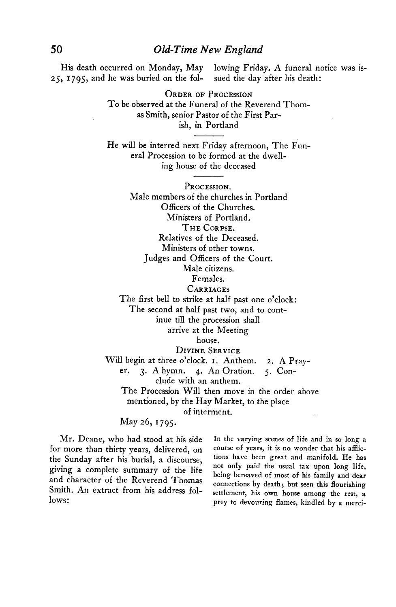**His death occurred on Monday, May lowing Friday. A funeral notice was is-25, 1795, and he was buried on the fol- sued the day after his death:** 

> **ORDER OF PROCESSION To be observed at the Funeral of the Reverend Thomas Smith, senior Pastor of the First Parish, in Portland**

> **He will be interred next Friday afternoon, The Funeral Procession to be formed at the dwelling house of the deceased**

**PROCESSION. Male members of the churches in Portland Officers of the Churches. Ministers of Portland. THE CORPSE. Relatives of the Deceased. Ministers of other towns. Judges and Officers of the Court. Male citizens. Females. CARRIAGES The first bell to strike at half past one o'clock:** 

**The second at half past two, and to cont-**

**inue till the procession shall** 

**arrive at the Meeting** 

**house.** 

**DIVINE SERVICE** 

**Will begin at three o'clock. I. Anthem. 2. A Pray-**

**er. 3. A hymn. 4. An Oration. 5. Con-**

**clude with an anthem.** 

**The Procession Will then move in the order above mentioned, by the Hay Market, to the place** 

**of interment.** 

**May 26, 1795.** 

for more than thirty years, delivered, on course of years, it is no wonder that his afflic**the Sunday after his burial, a discourse, tions have been great and manifold. He has giving a complete summary of the life not only paid the usual tax upon long life, and character of the Reverend Thomas Smith. An extract from his address fol-**

**Mr.** Deane, who had stood at his side In the varying scenes of life and in so long a **being bereaved of most of his family and dear connections by death; but seen this flourishing settlement, his own house among the rest, a**  lows: **lows:** prey to devouring flames, kindled by a merci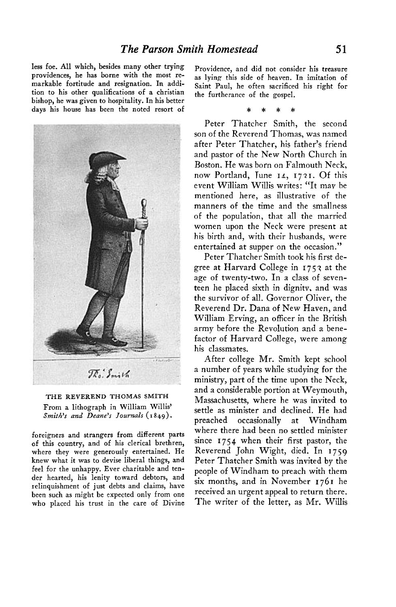**less foe. All which, besides many other trying providences, he has borne with the most remarkable fortitude and resignation. In addition to his other qualifications of a Christian bishop, he was given to hospitality. In his better days his house has been the noted resort of** 



**THE REVEREND THOMAS SMITH From a lithograph in William Willis'**  Smith's and Deane's Journals (1849).

**foreigners and strangers from different parts of this country, and of his clerical brethren, where they were generously entertained. He knew what it was to devise liberal things, and feel for the unhappy. Ever charitable and tender hearted, his lenity toward debtors, and relinquishment of just debts and claims, have been such as might be expected only from one who placed his trust in the care of Divine** 

**Providence, and did not consider his treasure as lying this side of heaven. In imitation of Saint Paul, he often sacrificed his right for the furtherance of the gospel.** 

**\* \* \* \*** 

**Peter Thatcher Smith, the second son of the Reverend Thomas, was named after Peter Thatcher, his father's friend and pastor of the New North Church in Boston. He was born on Falmouth Neck, now Portland, Tune 14, I 7'2 I. Of this event William Willis writes: "It mav be mentioned here, as illustrative of the manners of the time and the smallness of the population, that all the married women upon the Neck were present at his birth and, with their husbands, were entertained at supper on the occasion."** 

**Peter Thatcher Smith took his first degree at Harvard College in I 751 at the age of twenty-two. In a class of seventeen he placed sixth in dignitv. and was the survivor of all. Governor Oliver, the Reverend Dr. Dana of New Haven, and William Erving, an officer in the British army before the Revolution and a benefactor of Harvard College, were among his classmates.** 

**After college Mr. Smith kept school a number of years while studying for the ministry, part of the time upon the Neck, and a considerable portion at Weymouth, Massachusetts, where he was invited to settle as minister and declined. He had preached occasionally at Windham where there had been no settled minister since 1754 when their first pastor, the Reverend John Wight, died. In 1759 Peter Thatcher Smith was invited by the people of Windham to preach with them six months, and in November 1761 he received an urgent appeal to return there. The writer of the letter, as Mr. Willis**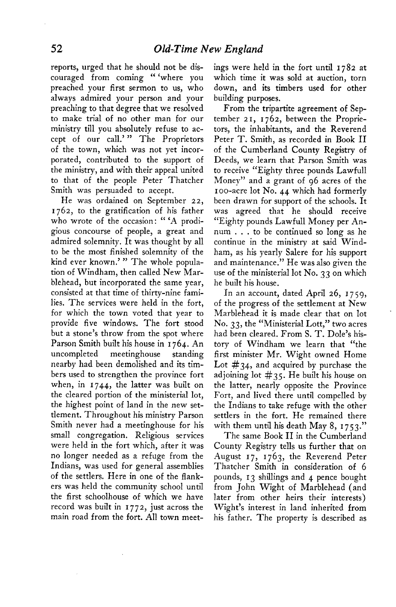**reports, urged that he should not be discouraged from coming " 'where you preached your first sermon to us, who always admired your person and your preaching to that degree that we resolved to make trial of no other man for our ministry till you absolutely refuse to accept of our call.' " The Proprietors of the town, which was not yet incorporated, contributed to the support of the ministry, and with their appeal united to that of the people Peter Thatcher Smith was persuaded to accept.** 

**He was ordained on September 22, 1762, to the gratification of his father who wrote of the occasion: " 'A prodigious concourse of people, a great and admired solemnity. It was thought by all to be the most finished solemnity of the kind ever known.' " The whole population of Windham, then called New Marblehead, but incorporated the same year, consisted at that time of thirty-nine families. The services were held in the fort, for which the town voted that year to provide five windows. The fort stood but a stone's throw from the spot where Parson Smith built his house in 1764. An uncompleted meetinghouse standing nearby had been demolished and its timbers used to strengthen the province fort when, in 1744, the latter was built on the cleared portion of the ministerial lot, the highest point of land in the new settlement. Throughout his ministry Parson Smith never had a meetinghouse for his small congregation. Religious services were held in the fort which, after it was no longer needed as a refuge from the Indians, was used for general assemblies of the settlers. Here in one of the flankers was held the community school until the first schoolhouse of which we have record was built in 1772, just across the main road from the fort. All town meet-** **ings were held in the fort until 1782 at which time it was sold at auction, torn down, and its timbers used for other building purposes.** 

**From the tripartite agreement of September 2 I, 1762, between the Proprietors, the inhabitants, and the Reverend Peter T. Smith, as recorded in Book II of the Cumberland County Registry of Deeds, we learn that Parson Smith was to receive "Eighty three pounds Lawful1 Money" and a grant of 96 acres of the boo-acre lot No. 44 which had formerly been drawn for support of the schools. It was agreed that he should receive "Eighty pounds Lawful1 Money per Annum . . . to be continued so long as he continue in the ministry at said Windham, as his yearly Salere for his support and maintenance." He was also given the use of the ministerial lot No. 33 on which he built his house.** 

**In an account, dated April 26, I 7 59, of the progress of the settlement at New Marblehead it is made clear that on lot No. 33, the "Ministerial Lott," two acres had been cleared. From S. T. Dole's history of Windham we learn that "the first minister Mr. Wight owned Home Lot #34, and acquired by purchase the adjoining lot #35. He built his house on the latter, nearly opposite the Province Fort, and lived there until compelled by the Indians to take refuge with the other settlers in the fort. He remained there with them until his death May 8, I 753."** 

**The same Book II in the Cumberland County Registry tells us further that on August 17, 1763, the Reverend Peter Thatcher Smith in consideration of 6 pounds, 13 shillings and 4 pence bought from John Wight of Marblehead (and later from other heirs their interests) Wight's interest in land inherited from his father. The property is described as**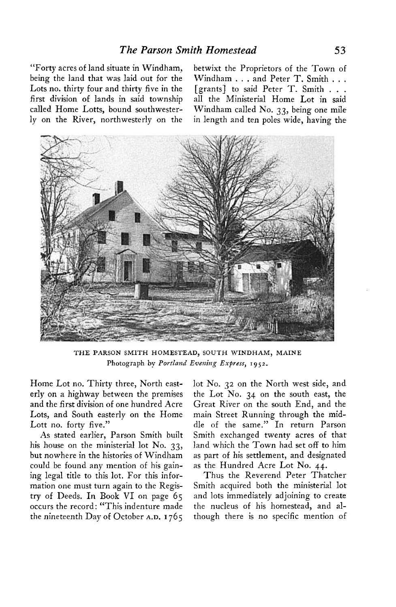**being the land that was laid out for the Windham . . . and Peter T. Smith . . . Lots no. thirty four and thirty five in the [grants] to said Peter T. Smith . . . first division of lands in said township all the Ministerial Home Lot in said called Home Lotts, bound southwester- Windham called No. 33, being one mile ly on the River, northwesterly on the in length and ten poles wide, having the** 

**"Forty acres of land situate in Windham, betwixt the Proprietors of the Town of** 



**THE PARSON SMITH HOMESTEAD, SOUTH WINDHAM, MAINE**  Photograph by Portland Evening Express, 1952.

**Home Lot no. Thirty three, North easterly on a highway between the premises and the first division of one hundred Acre Lots, and South easterly on the Home Lott no. forty five."** 

**As stated earlier, Parson Smith built his house on the ministerial lot No. 33, but nowhere in the histories of Windham could be found any mention of his gaining legal title to this lot. For this information one must turn again to the Registry of Deeds. In Book VI on page 65 occurs the record: "This indenture made the nineteenth Day of October A.D. I 765** 

**lot No. 32 on the North west side, and the Lot No. 34 on the south east, the Great River on the south End, and the main Street Running through the middle of the same." In return Parson Smith exchanged twenty acres of that land which the Town had set off to him as part of his settlement, and designated as the Hundred Acre Lot No. 44.** 

**Thus the Reverend Peter Thatcher Smith acquired both the ministerial lot and lots immediately adjoining to create the nucleus of his homestead, and although there is no specific mention of**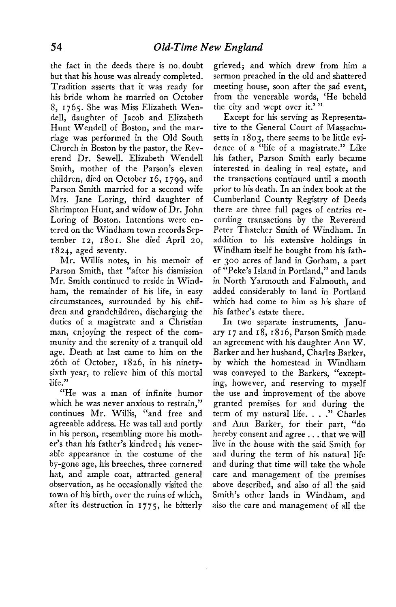**the fact in the deeds there is no. doubt but that his house was already completed. Tradition asserts that it was ready for his bride whom he married on October 8, 1765. She was Miss Elizabeth Wendell, daughter of Jacob and Elizabeth Hunt Wendell of Boston, and the marriage was performed in the Old South Church in Boston by the pastor, the Reverend Dr. Sewell. Elizabeth Wendell Smith, mother of the Parson's eleven children, died on October 16, 1799, and Parson Smith married for a second wife Mrs. Jane Loring, third daughter of Shrimpton Hunt, and widow of Dr. John Loring of Boston. Intentions were entered on the Windham town records September 12, 1801. She died April 20, 1824, aged seventy.** 

**Mr. Willis notes, in his memoir of Parson Smith, that "after his dismission Mr. Smith continued to reside in Windham, the remainder of his life, in easy circumstances, surrounded by his children and grandchildren, discharging the duties of a magistrate and a Christian man, enjoying the respect of the community and the serenity of a tranquil old age. Death at last came to him on the 26th of October, 1826, in his ninetysixth year, to relieve him of this mortal life."** 

**"He was a man of infinite humor which he was never anxious to restrain," continues Mr. Willis, "and free and agreeable address. He was tall and portly in his person, resembling more his mother's than his father's kindred; his venerable appearance in the costume of the by-gone age, his breeches, three cornered hat, and ample coat, attracted general observation, as he occasionally visited the town of his birth, over the ruins of which, after its destruction in I 775, he bitterly**  **grieved; and which drew from him a sermon preached in the old and shattered meeting house, soon after the sad event, from the venerable words, 'He beheld the city and wept over it.' "** 

**Except for his serving as Representative to the General Court of Massachusetts in 1803, there seems to be little evidence of a "life of a magistrate." Like his father, Parson Smith early became interested in dealing in real estate, and the transactions continued until a month prior to his death. In an index book at the Cumberland County Registry of Deeds there are three full pages of entries recording transactions by the Reverend Peter Thatcher Smith of Windham. In addition to his extensive holdings in Windham itself he bought from his father 300 acres of land in Gorham, a part of "Peke's Island in Portland," and lands in North Yarmouth and Falmouth, and added considerably to land in Portland which had come to him as his share of his father's estate there.** 

**In two separate instruments, January I 7 and I 8, I 8 I 6, Parson Smith made an agreement with his daughter Ann W. Barker and her husband, Charles Barker, by which the homestead in Windham was conveyed to the Barkers, "excepting, however, and reserving to myself the use and improvement of the above granted premises for and during the term of my natural life. . . ." Charles and Ann Barker, for their part, "do hereby consent and agree . . . that we will live in the house with the said Smith for and during the term of his natural life and during that time will take the whole care and management of the premises above described, and also of all the said Smith's other lands in Windham, and also the care and management of all the**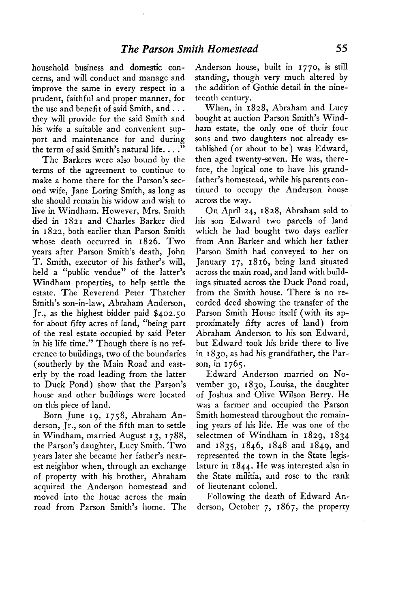**household business and domestic concerns, and will conduct and manage and improve the same in every respect in a prudent, faithful and proper manner, for the use and benefit of said Smith, and . . . they will provide for the said Smith and his wife a suitable and convenient support and maintenance for and during the term of said Smith's natural life. . . ."** 

**The Barkers were also bound by the terms of the agreement to continue to make a home there for the Parson's second wife, Jane Loring Smith, as long as she should remain his widow and wish to live in Windham. However, Mrs. Smith died in 182 I and Charles Barker died in 1822, both earlier than Parson Smith whose death occurred in 1826. Two years after Parson Smith's death, John T. Smith, executor of his father's will, held a "public vendue" of the latter's Windham properties, to help settle the estate. The Reverend Peter Thatcher Smith's son-in-law, Abraham Anderson, Jr., as the highest bidder paid \$402.50 for about fifty acres of land, "being part of the real estate occupied by said Peter in his life time." Though there is no reference to buildings, two of the boundaries (southerly by the Main Road and easterly by the road leading from the latter to Duck Pond) show that the Parson's house and other buildings were located on this piece of land.** 

Born June **19, 1758**, Abraham An**derson, Jr., son of the fifth man to settle in Windham, married August I 3, I 788, the Parson's daughter, Lucy Smith. Two years later she became her father's nearest neighbor when, through an exchange of property with his brother, Abraham acquired the Anderson homestead and moved into the house across the main road from Parson Smith's home. The**  **Anderson house, built in I 770, is still standing, though very much altered by the addition of Gothic detail in the nineteenth century.** 

**When, in 1828, Abraham and Lucy bought at auction Parson Smith's Windham estate, the only one of their four sons and two daughters not already established (or about to be) was Edward, then aged twenty-seven. He was, therefore, the logical one to have his grandfather's homestead, while his parents continued to occupy the Anderson house across the way.** 

**On April 24, 1828, Abraham sold to his son Edward two parcels of land which he had bought two days earlier from Ann Barker and which her father Parson Smith had conveyed to her on January I 7, I 8 16, being land situated across the main road, and land with buildings situated across the Duck Pond road, from the Smith house. There is no recorded deed showing the transfer of the Parson Smith House itself (with its approximately fifty acres of land) from Abraham Anderson to his son Edward, but Edward took his bride there to live in I 830, as had his grandfather, the Parson, in 1765.** 

**Edward Anderson married on November 30, 1830, Louisa, the daughter of Joshua and Olive Wilson Berry. He was a farmer and occupied the Parson Smith homestead throughout the remaining years of his life. He was one of the selectmen of Windham in 1829, 1834 and 1835, 1846, 1848 and 1849, and represented the town in the State legislature in 1844. He was interested also in the State militia, and rose to the rank of lieutenant colonel.** 

**Following the death of Edward Anderson, October 7, 1867, the property**